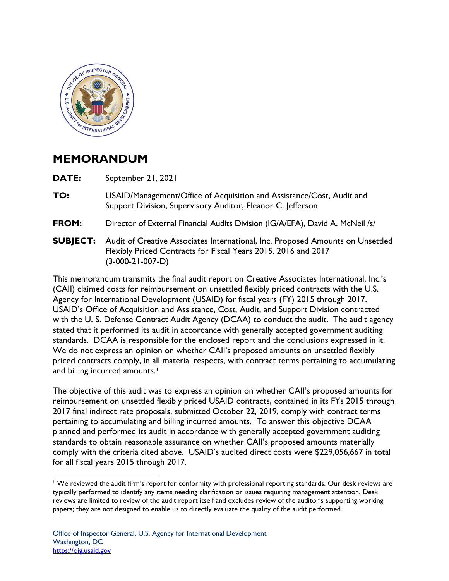

## **MEMORANDUM**

**DATE:** September 21, 2021

- **TO:** USAID/Management/Office of Acquisition and Assistance/Cost, Audit and Support Division, Supervisory Auditor, Eleanor C. Jefferson
- **FROM:** Director of External Financial Audits Division (IG/A/EFA), David A. McNeil /s/
- **SUBJECT:**  Flexibly Priced Contracts for Fiscal Years 2015, 2016 and 2017 **SUBJECT:** Audit of Creative Associates International, Inc. Proposed Amounts on Unsettled (3-000-21-007-D)

Agency for International Development (USAID) for fiscal years (FY) 2015 through 2017. with the U. S. Defense Contract Audit Agency (DCAA) to conduct the audit. The audit agency stated that it performed its audit in accordance with generally accepted government auditing standards. DCAA is responsible for the enclosed report and the conclusions expressed in it. priced contracts comply, in all material respects, with contract terms pertaining to accumulating This memorandum transmits the final audit report on Creative Associates International, Inc.'s (CAII) claimed costs for reimbursement on unsettled flexibly priced contracts with the U.S. USAID's Office of Acquisition and Assistance, Cost, Audit, and Support Division contracted We do not express an opinion on whether CAII's proposed amounts on unsettled flexibly and billing incurred amounts.<sup>1</sup>

The objective of this audit was to express an opinion on whether CAII's proposed amounts for reimbursement on unsettled flexibly priced USAID contracts, contained in its FYs 2015 through 2017 final indirect rate proposals, submitted October 22, 2019, comply with contract terms pertaining to accumulating and billing incurred amounts. To answer this objective DCAA planned and performed its audit in accordance with generally accepted government auditing standards to obtain reasonable assurance on whether CAII's proposed amounts materially comply with the criteria cited above. USAID's audited direct costs were \$229,056,667 in total for all fiscal years 2015 through 2017.

 $1$  We reviewed the audit firm's report for conformity with professional reporting standards. Our desk reviews are typically performed to identify any items needing clarification or issues requiring management attention. Desk reviews are limited to review of the audit report itself and excludes review of the auditor's supporting working papers; they are not designed to enable us to directly evaluate the quality of the audit performed.